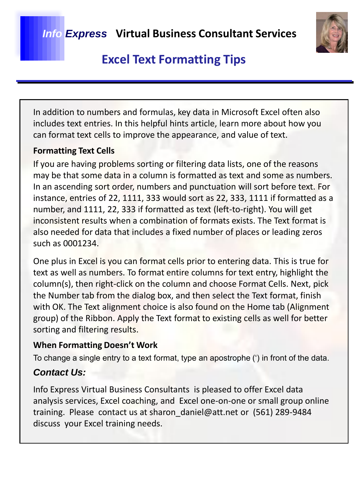

## **Excel Text Formatting Tips**

In addition to numbers and formulas, key data in Microsoft Excel often also includes text entries. In this helpful hints article, learn more about how you can format text cells to improve the appearance, and value of text.

### **Formatting Text Cells**

If you are having problems sorting or filtering data lists, one of the reasons may be that some data in a column is formatted as text and some as numbers. In an ascending sort order, numbers and punctuation will sort before text. For instance, entries of 22, 1111, 333 would sort as 22, 333, 1111 if formatted as a number, and 1111, 22, 333 if formatted as text (left-to-right). You will get inconsistent results when a combination of formats exists. The Text format is also needed for data that includes a fixed number of places or leading zeros such as 0001234.

One plus in Excel is you can format cells prior to entering data. This is true for text as well as numbers. To format entire columns for text entry, highlight the column(s), then right-click on the column and choose Format Cells. Next, pick the Number tab from the dialog box, and then select the Text format, finish with OK. The Text alignment choice is also found on the Home tab (Alignment group) of the Ribbon. Apply the Text format to existing cells as well for better sorting and filtering results.

### **When Formatting Doesn't Work**

To change a single entry to a text format, type an apostrophe (') in front of the data.

### *Contact Us:*

Info Express Virtual Business Consultants is pleased to offer Excel data analysis services, Excel coaching, and Excel one-on-one or small group online training. Please contact us at sharon\_daniel@att.net or (561) 289-9484 discuss your Excel training needs.